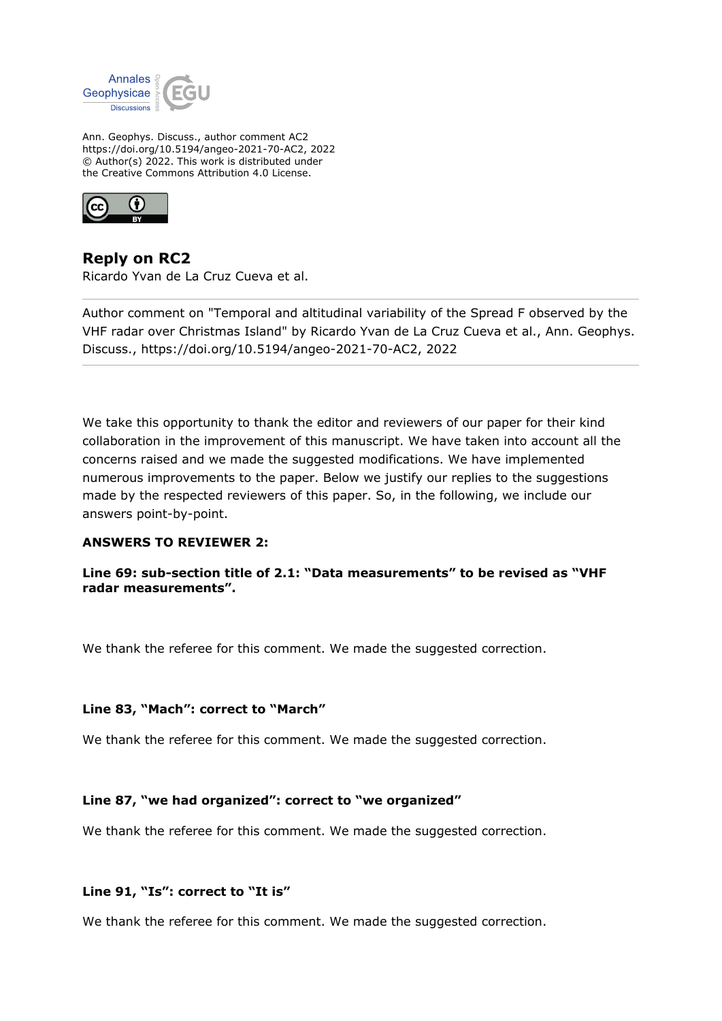

Ann. Geophys. Discuss., author comment AC2 https://doi.org/10.5194/angeo-2021-70-AC2, 2022 © Author(s) 2022. This work is distributed under the Creative Commons Attribution 4.0 License.



**Reply on RC2** Ricardo Yvan de La Cruz Cueva et al.

Author comment on "Temporal and altitudinal variability of the Spread F observed by the VHF radar over Christmas Island" by Ricardo Yvan de La Cruz Cueva et al., Ann. Geophys. Discuss., https://doi.org/10.5194/angeo-2021-70-AC2, 2022

We take this opportunity to thank the editor and reviewers of our paper for their kind collaboration in the improvement of this manuscript. We have taken into account all the concerns raised and we made the suggested modifications. We have implemented numerous improvements to the paper. Below we justify our replies to the suggestions made by the respected reviewers of this paper. So, in the following, we include our answers point-by-point.

# **ANSWERS TO REVIEWER 2:**

**Line 69: sub-section title of 2.1: "Data measurements" to be revised as "VHF radar measurements".**

We thank the referee for this comment. We made the suggested correction.

### **Line 83, "Mach": correct to "March"**

We thank the referee for this comment. We made the suggested correction.

### **Line 87, "we had organized": correct to "we organized"**

We thank the referee for this comment. We made the suggested correction.

### **Line 91, "Is": correct to "It is"**

We thank the referee for this comment. We made the suggested correction.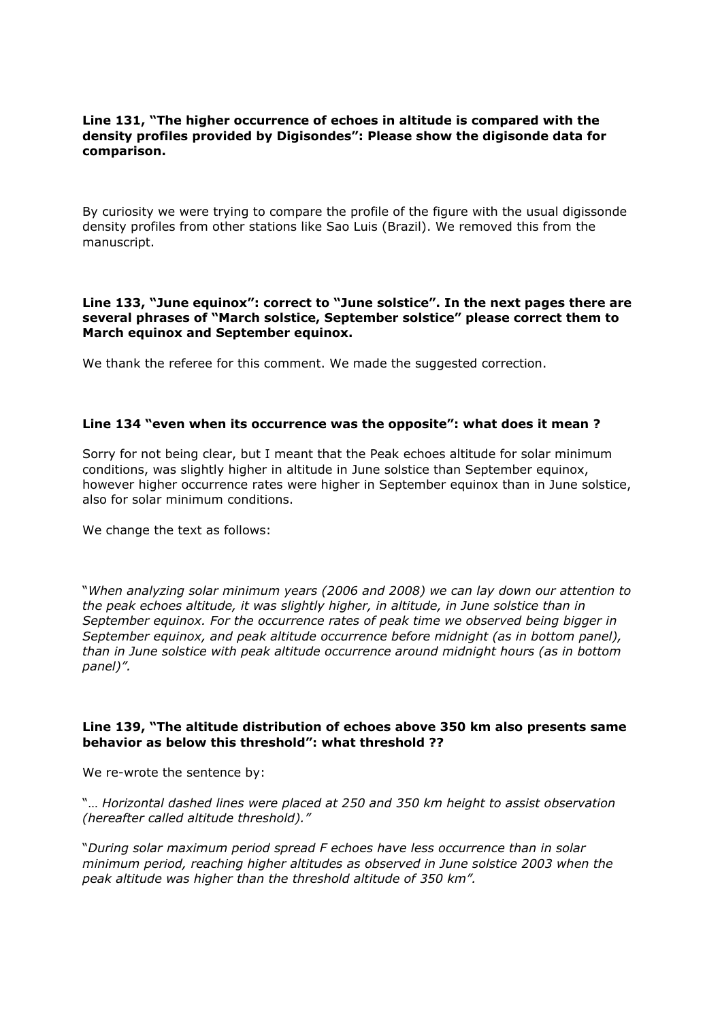### **Line 131, "The higher occurrence of echoes in altitude is compared with the density profiles provided by Digisondes": Please show the digisonde data for comparison.**

By curiosity we were trying to compare the profile of the figure with the usual digissonde density profiles from other stations like Sao Luis (Brazil). We removed this from the manuscript.

### **Line 133, "June equinox": correct to "June solstice". In the next pages there are several phrases of "March solstice, September solstice" please correct them to March equinox and September equinox.**

We thank the referee for this comment. We made the suggested correction.

### **Line 134 "even when its occurrence was the opposite": what does it mean ?**

Sorry for not being clear, but I meant that the Peak echoes altitude for solar minimum conditions, was slightly higher in altitude in June solstice than September equinox, however higher occurrence rates were higher in September equinox than in June solstice, also for solar minimum conditions.

We change the text as follows:

"*When analyzing solar minimum years (2006 and 2008) we can lay down our attention to the peak echoes altitude, it was slightly higher, in altitude, in June solstice than in September equinox. For the occurrence rates of peak time we observed being bigger in September equinox, and peak altitude occurrence before midnight (as in bottom panel), than in June solstice with peak altitude occurrence around midnight hours (as in bottom panel)".*

### **Line 139, "The altitude distribution of echoes above 350 km also presents same behavior as below this threshold": what threshold ??**

We re-wrote the sentence by:

"… *Horizontal dashed lines were placed at 250 and 350 km height to assist observation (hereafter called altitude threshold)."*

"*During solar maximum period spread F echoes have less occurrence than in solar minimum period, reaching higher altitudes as observed in June solstice 2003 when the peak altitude was higher than the threshold altitude of 350 km".*